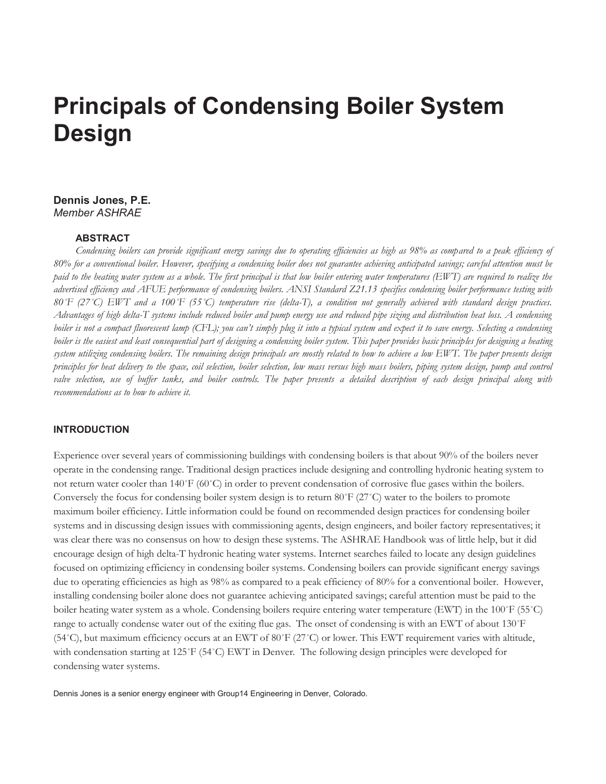# **Principals of Condensing Boiler System Design**

# **Dennis Jones, P.E.**  *Member ASHRAE*

#### **ABSTRACT**

*Condensing boilers can provide significant energy savings due to operating efficiencies as high as 98% as compared to a peak efficiency of 80% for a conventional boiler. However, specifying a condensing boiler does not guarantee achieving anticipated savings; careful attention must be paid to the heating water system as a whole. The first principal is that low boiler entering water temperatures (EWT) are required to realize the advertised efficiency and AFUE performance of condensing boilers. ANSI Standard Z21.13 specifies condensing boiler performance testing with 80˚F (27˚C) EWT and a 100˚F (55˚C) temperature rise (delta-T), a condition not generally achieved with standard design practices. Advantages of high delta-T systems include reduced boiler and pump energy use and reduced pipe sizing and distribution heat loss. A condensing boiler is not a compact fluorescent lamp (CFL); you can't simply plug it into a typical system and expect it to save energy. Selecting a condensing boiler is the easiest and least consequential part of designing a condensing boiler system. This paper provides basic principles for designing a heating system utilizing condensing boilers. The remaining design principals are mostly related to how to achieve a low EWT. The paper presents design principles for heat delivery to the space, coil selection, boiler selection, low mass versus high mass boilers, piping system design, pump and control valve selection, use of buffer tanks, and boiler controls. The paper presents a detailed description of each design principal along with recommendations as to how to achieve it.* 

#### **INTRODUCTION**

Experience over several years of commissioning buildings with condensing boilers is that about 90% of the boilers never operate in the condensing range. Traditional design practices include designing and controlling hydronic heating system to not return water cooler than 140˚F (60˚C) in order to prevent condensation of corrosive flue gases within the boilers. Conversely the focus for condensing boiler system design is to return 80°F ( $27^{\circ}$ C) water to the boilers to promote maximum boiler efficiency. Little information could be found on recommended design practices for condensing boiler systems and in discussing design issues with commissioning agents, design engineers, and boiler factory representatives; it was clear there was no consensus on how to design these systems. The ASHRAE Handbook was of little help, but it did encourage design of high delta-T hydronic heating water systems. Internet searches failed to locate any design guidelines focused on optimizing efficiency in condensing boiler systems. Condensing boilers can provide significant energy savings due to operating efficiencies as high as 98% as compared to a peak efficiency of 80% for a conventional boiler. However, installing condensing boiler alone does not guarantee achieving anticipated savings; careful attention must be paid to the boiler heating water system as a whole. Condensing boilers require entering water temperature (EWT) in the 100˚F (55˚C) range to actually condense water out of the exiting flue gas. The onset of condensing is with an EWT of about 130°F (54˚C), but maximum efficiency occurs at an EWT of 80˚F (27˚C) or lower. This EWT requirement varies with altitude, with condensation starting at 125°F (54°C) EWT in Denver. The following design principles were developed for condensing water systems.

Dennis Jones is a senior energy engineer with Group14 Engineering in Denver, Colorado.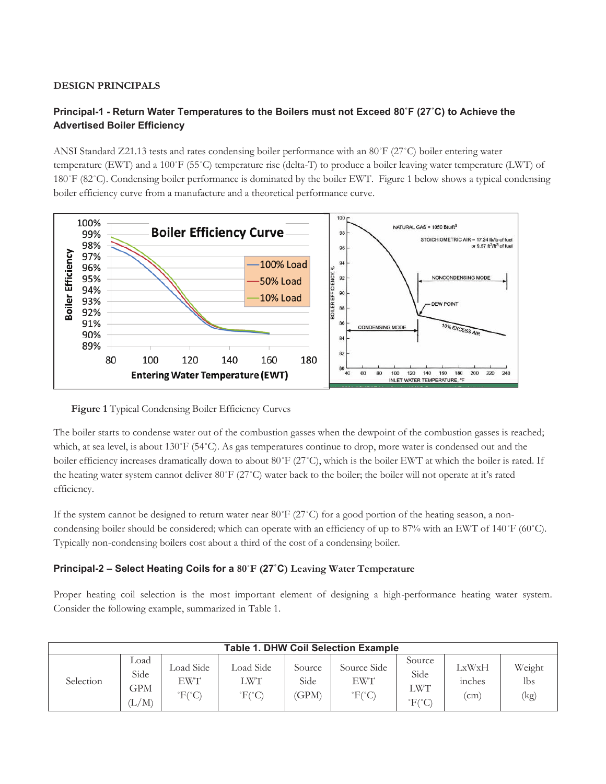# **DESIGN PRINCIPALS**

# **Principal-1 - Return Water Temperatures to the Boilers must not Exceed 80˚F (27˚C) to Achieve the Advertised Boiler Efficiency**

ANSI Standard Z21.13 tests and rates condensing boiler performance with an 80˚F (27˚C) boiler entering water temperature (EWT) and a 100˚F (55˚C) temperature rise (delta-T) to produce a boiler leaving water temperature (LWT) of 180˚F (82˚C). Condensing boiler performance is dominated by the boiler EWT. Figure 1 below shows a typical condensing boiler efficiency curve from a manufacture and a theoretical performance curve.



#### **Figure 1** Typical Condensing Boiler Efficiency Curves

The boiler starts to condense water out of the combustion gasses when the dewpoint of the combustion gasses is reached; which, at sea level, is about 130˚F (54˚C). As gas temperatures continue to drop, more water is condensed out and the boiler efficiency increases dramatically down to about 80°F (27°C), which is the boiler EWT at which the boiler is rated. If the heating water system cannot deliver 80˚F (27˚C) water back to the boiler; the boiler will not operate at it's rated efficiency.

If the system cannot be designed to return water near 80°F (27°C) for a good portion of the heating season, a noncondensing boiler should be considered; which can operate with an efficiency of up to 87% with an EWT of 140˚F (60˚C). Typically non-condensing boilers cost about a third of the cost of a condensing boiler.

# **Principal-2 – Select Heating Coils for a 80˚F (27˚C) Leaving Water Temperature**

Proper heating coil selection is the most important element of designing a high-performance heating water system. Consider the following example, summarized in Table 1.

| <b>Table 1. DHW Coil Selection Example</b> |                                                  |                                              |                                              |                         |                                                |                                        |                       |                       |
|--------------------------------------------|--------------------------------------------------|----------------------------------------------|----------------------------------------------|-------------------------|------------------------------------------------|----------------------------------------|-----------------------|-----------------------|
| Selection                                  | Load<br>Side<br>GPM<br>$(\mathrm{L}/\mathrm{M})$ | Load Side<br>EWT<br>$\mathrm{F}(\mathrm{C})$ | Load Side<br>LWT<br>$\mathrm{F}(\mathrm{C})$ | Source<br>Side<br>(GPM) | Source Side<br>EWT<br>$\mathrm{F}(\mathrm{C})$ | Source<br>Side<br>LWT<br>$\rm{F}$ (°C) | LxWxH<br>mches<br>(cm | Weight<br>lbs<br>(kg) |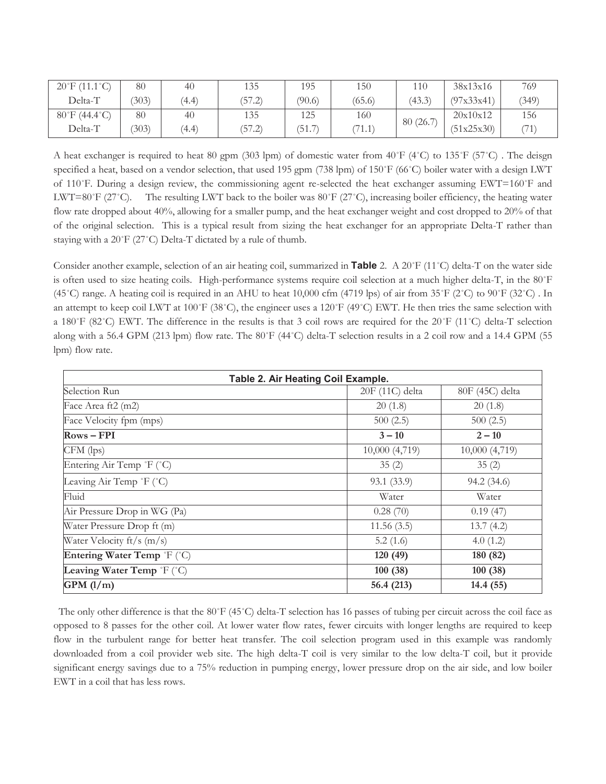| $20^{\circ}$ F (11.1 °C)           | 80    | 40    | 135    | 195    | 150    | 110      | 38x13x16   | 769   |
|------------------------------------|-------|-------|--------|--------|--------|----------|------------|-------|
| Delta-T                            | (303) | (4.4) | (57.2) | (90.6) | (65.6) | (43.3)   | (97x33x41) | (349) |
| $80^{\circ}$ F (44.4 $^{\circ}$ C) | 80    | 40    | 135    | 125    | 160    |          | 20x10x12   | 156   |
| Delta-T                            | (303) | (4.4) | (57.2) | (51.7) | (71.1) | 80(26.7) | (51x25x30) | (71)  |

A heat exchanger is required to heat 80 gpm (303 lpm) of domestic water from  $40\degree$ F ( $4\degree$ C) to 135 $\degree$ F (57 $\degree$ C). The deisgn specified a heat, based on a vendor selection, that used 195 gpm (738 lpm) of 150°F (66°C) boiler water with a design LWT of 110˚F. During a design review, the commissioning agent re-selected the heat exchanger assuming EWT=160˚F and LWT=80°F (27°C). The resulting LWT back to the boiler was  $80^{\circ}$ F (27°C), increasing boiler efficiency, the heating water flow rate dropped about 40%, allowing for a smaller pump, and the heat exchanger weight and cost dropped to 20% of that of the original selection. This is a typical result from sizing the heat exchanger for an appropriate Delta-T rather than staying with a 20˚F (27˚C) Delta-T dictated by a rule of thumb.

Consider another example, selection of an air heating coil, summarized in **Table** 2. A 20˚F (11˚C) delta-T on the water side is often used to size heating coils. High-performance systems require coil selection at a much higher delta-T, in the 80˚F (45˚C) range. A heating coil is required in an AHU to heat 10,000 cfm (4719 lps) of air from 35˚F (2˚C) to 90˚F (32˚C) . In an attempt to keep coil LWT at 100°F (38°C), the engineer uses a 120°F (49°C) EWT. He then tries the same selection with a 180˚F (82˚C) EWT. The difference in the results is that 3 coil rows are required for the 20˚F (11˚C) delta-T selection along with a 56.4 GPM (213 lpm) flow rate. The 80˚F (44˚C) delta-T selection results in a 2 coil row and a 14.4 GPM (55 lpm) flow rate.

| Table 2. Air Heating Coil Example. |                 |                 |  |  |  |
|------------------------------------|-----------------|-----------------|--|--|--|
| Selection Run                      | 20F (11C) delta | 80F (45C) delta |  |  |  |
| Face Area ft2 (m2)                 | 20(1.8)         | 20(1.8)         |  |  |  |
| Face Velocity fpm (mps)            | 500(2.5)        | 500(2.5)        |  |  |  |
| $Rows - FPI$                       | $3 - 10$        | $2 - 10$        |  |  |  |
| CFM (lps)                          | 10,000 (4,719)  | 10,000 (4,719)  |  |  |  |
| Entering Air Temp °F (°C)          | 35(2)           | 35(2)           |  |  |  |
| Leaving Air Temp °F (°C)           | 93.1 (33.9)     | 94.2 (34.6)     |  |  |  |
| Fluid                              | Water           | Water           |  |  |  |
| Air Pressure Drop in WG (Pa)       | 0.28(70)        | 0.19(47)        |  |  |  |
| Water Pressure Drop ft (m)         | 11.56(3.5)      | 13.7(4.2)       |  |  |  |
| Water Velocity $ft/s$ (m/s)        | 5.2(1.6)        | 4.0(1.2)        |  |  |  |
| Entering Water Temp °F (°C)        | 120 (49)        | 180 (82)        |  |  |  |
| Leaving Water Temp °F (°C)         | 100(38)         | 100(38)         |  |  |  |
| GPM(1/m)                           | 56.4 (213)      | 14.4 (55)       |  |  |  |

 The only other difference is that the 80˚F (45˚C) delta-T selection has 16 passes of tubing per circuit across the coil face as opposed to 8 passes for the other coil. At lower water flow rates, fewer circuits with longer lengths are required to keep flow in the turbulent range for better heat transfer. The coil selection program used in this example was randomly downloaded from a coil provider web site. The high delta-T coil is very similar to the low delta-T coil, but it provide significant energy savings due to a 75% reduction in pumping energy, lower pressure drop on the air side, and low boiler EWT in a coil that has less rows.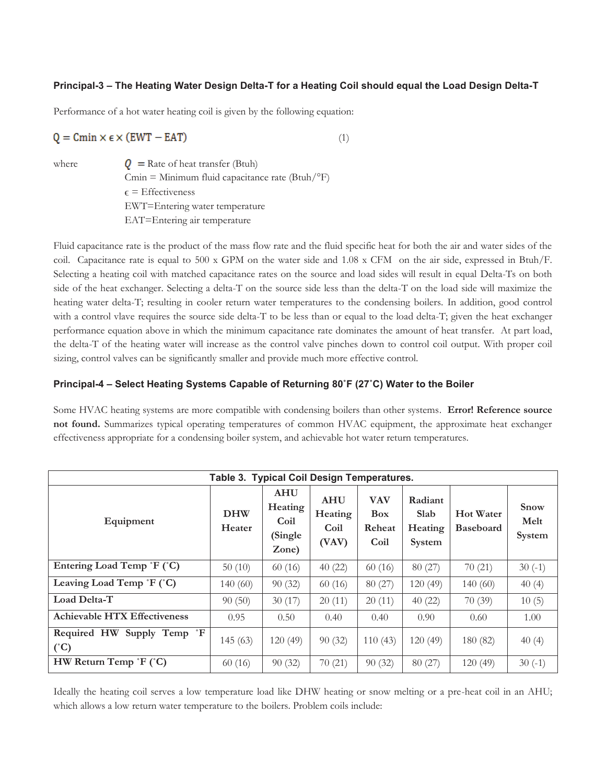# **Principal-3 – The Heating Water Design Delta-T for a Heating Coil should equal the Load Design Delta-T**

Performance of a hot water heating coil is given by the following equation:

$$
Q = Cmin \times \epsilon \times (EWT - EAT)
$$
\n<sup>(1)</sup>

where  $Q = \text{Rate of heat transfer (Btuh)}$  $Cmin = Minimum fluid capacitance rate (Btuh/°F)$  $\epsilon$  = Effectiveness EWT=Entering water temperature EAT=Entering air temperature

Fluid capacitance rate is the product of the mass flow rate and the fluid specific heat for both the air and water sides of the coil. Capacitance rate is equal to 500 x GPM on the water side and 1.08 x CFM on the air side, expressed in Btuh/F. Selecting a heating coil with matched capacitance rates on the source and load sides will result in equal Delta-Ts on both side of the heat exchanger. Selecting a delta-T on the source side less than the delta-T on the load side will maximize the heating water delta-T; resulting in cooler return water temperatures to the condensing boilers. In addition, good control with a control vlave requires the source side delta-T to be less than or equal to the load delta-T; given the heat exchanger performance equation above in which the minimum capacitance rate dominates the amount of heat transfer. At part load, the delta-T of the heating water will increase as the control valve pinches down to control coil output. With proper coil sizing, control valves can be significantly smaller and provide much more effective control.

### **Principal-4 – Select Heating Systems Capable of Returning 80˚F (27˚C) Water to the Boiler**

Some HVAC heating systems are more compatible with condensing boilers than other systems. **Error! Reference source not found.** Summarizes typical operating temperatures of common HVAC equipment, the approximate heat exchanger effectiveness appropriate for a condensing boiler system, and achievable hot water return temperatures.

| Table 3. Typical Coil Design Temperatures.            |                      |                                                    |                                        |                                            |                                      |                                      |                               |  |
|-------------------------------------------------------|----------------------|----------------------------------------------------|----------------------------------------|--------------------------------------------|--------------------------------------|--------------------------------------|-------------------------------|--|
| Equipment                                             | <b>DHW</b><br>Heater | <b>AHU</b><br>Heating<br>Coil<br>(Single)<br>Zone) | <b>AHU</b><br>Heating<br>Coil<br>(VAV) | <b>VAV</b><br><b>Box</b><br>Reheat<br>Coil | Radiant<br>Slab<br>Heating<br>System | <b>Hot Water</b><br><b>Baseboard</b> | <b>Snow</b><br>Melt<br>System |  |
| Entering Load Temp 'F (°C)                            | 50(10)               | 60(16)                                             | 40(22)                                 | 60(16)                                     | 80(27)                               | 70(21)                               | $30(-1)$                      |  |
| Leaving Load Temp °F (°C)                             | 140(60)              | 90(32)                                             | 60(16)                                 | 80(27)                                     | 120(49)                              | 140(60)                              | 40(4)                         |  |
| Load Delta-T                                          | 90(50)               | 30(17)                                             | 20(11)                                 | 20(11)                                     | 40(22)                               | 70(39)                               | 10(5)                         |  |
| <b>Achievable HTX Effectiveness</b>                   | 0.95                 | 0.50                                               | 0.40                                   | 0.40                                       | 0.90 <sub>1</sub>                    | 0.60                                 | 1.00                          |  |
| Required HW Supply Temp <sup>P</sup><br>$(^{\circ}C)$ | 145(63)              | 120(49)                                            | 90(32)                                 | 110(43)                                    | 120(49)                              | 180 (82)                             | 40(4)                         |  |
| HW Return Temp $F(T)$                                 | 60(16)               | 90(32)                                             | 70(21)                                 | 90(32)                                     | 80(27)                               | 120(49)                              | $30(-1)$                      |  |

Ideally the heating coil serves a low temperature load like DHW heating or snow melting or a pre-heat coil in an AHU; which allows a low return water temperature to the boilers. Problem coils include: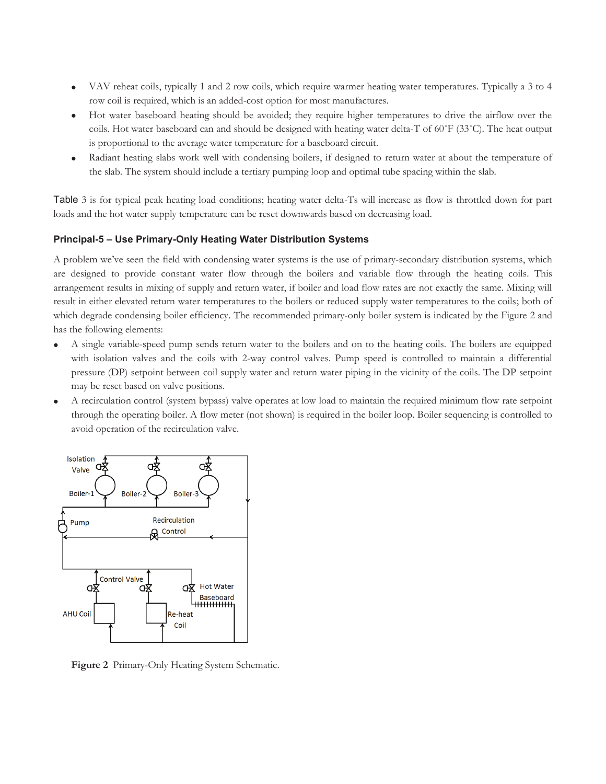- · VAV reheat coils, typically 1 and 2 row coils, which require warmer heating water temperatures. Typically a 3 to 4 row coil is required, which is an added-cost option for most manufactures.
- · Hot water baseboard heating should be avoided; they require higher temperatures to drive the airflow over the coils. Hot water baseboard can and should be designed with heating water delta-T of 60˚F (33˚C). The heat output is proportional to the average water temperature for a baseboard circuit.
- · Radiant heating slabs work well with condensing boilers, if designed to return water at about the temperature of the slab. The system should include a tertiary pumping loop and optimal tube spacing within the slab.

Table 3 is for typical peak heating load conditions; heating water delta-Ts will increase as flow is throttled down for part loads and the hot water supply temperature can be reset downwards based on decreasing load.

# **Principal-5 – Use Primary-Only Heating Water Distribution Systems**

A problem we've seen the field with condensing water systems is the use of primary-secondary distribution systems, which are designed to provide constant water flow through the boilers and variable flow through the heating coils. This arrangement results in mixing of supply and return water, if boiler and load flow rates are not exactly the same. Mixing will result in either elevated return water temperatures to the boilers or reduced supply water temperatures to the coils; both of which degrade condensing boiler efficiency. The recommended primary-only boiler system is indicated by the Figure 2 and has the following elements:

- · A single variable-speed pump sends return water to the boilers and on to the heating coils. The boilers are equipped with isolation valves and the coils with 2-way control valves. Pump speed is controlled to maintain a differential pressure (DP) setpoint between coil supply water and return water piping in the vicinity of the coils. The DP setpoint may be reset based on valve positions.
- · A recirculation control (system bypass) valve operates at low load to maintain the required minimum flow rate setpoint through the operating boiler. A flow meter (not shown) is required in the boiler loop. Boiler sequencing is controlled to avoid operation of the recirculation valve.



**Figure 2** Primary-Only Heating System Schematic.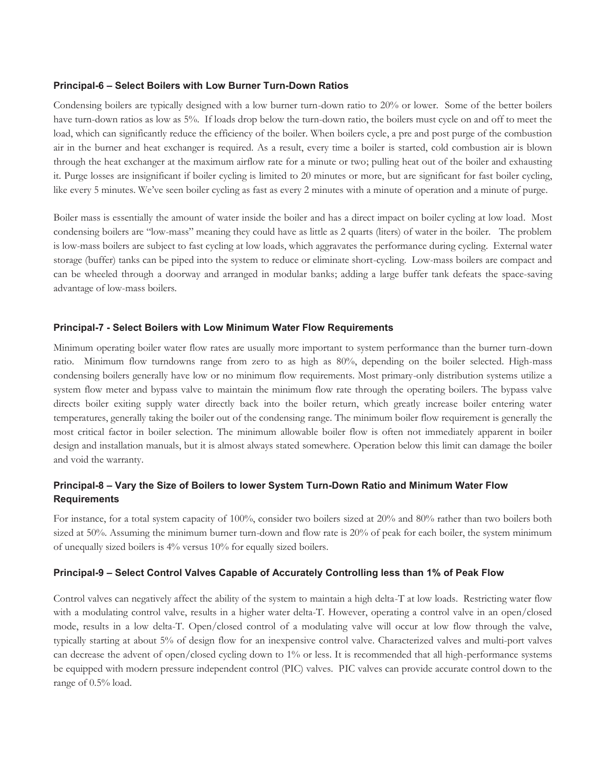#### **Principal-6 – Select Boilers with Low Burner Turn-Down Ratios**

Condensing boilers are typically designed with a low burner turn-down ratio to 20% or lower. Some of the better boilers have turn-down ratios as low as 5%. If loads drop below the turn-down ratio, the boilers must cycle on and off to meet the load, which can significantly reduce the efficiency of the boiler. When boilers cycle, a pre and post purge of the combustion air in the burner and heat exchanger is required. As a result, every time a boiler is started, cold combustion air is blown through the heat exchanger at the maximum airflow rate for a minute or two; pulling heat out of the boiler and exhausting it. Purge losses are insignificant if boiler cycling is limited to 20 minutes or more, but are significant for fast boiler cycling, like every 5 minutes. We've seen boiler cycling as fast as every 2 minutes with a minute of operation and a minute of purge.

Boiler mass is essentially the amount of water inside the boiler and has a direct impact on boiler cycling at low load. Most condensing boilers are "low-mass" meaning they could have as little as 2 quarts (liters) of water in the boiler. The problem is low-mass boilers are subject to fast cycling at low loads, which aggravates the performance during cycling. External water storage (buffer) tanks can be piped into the system to reduce or eliminate short-cycling. Low-mass boilers are compact and can be wheeled through a doorway and arranged in modular banks; adding a large buffer tank defeats the space-saving advantage of low-mass boilers.

#### **Principal-7 - Select Boilers with Low Minimum Water Flow Requirements**

Minimum operating boiler water flow rates are usually more important to system performance than the burner turn-down ratio. Minimum flow turndowns range from zero to as high as 80%, depending on the boiler selected. High-mass condensing boilers generally have low or no minimum flow requirements. Most primary-only distribution systems utilize a system flow meter and bypass valve to maintain the minimum flow rate through the operating boilers. The bypass valve directs boiler exiting supply water directly back into the boiler return, which greatly increase boiler entering water temperatures, generally taking the boiler out of the condensing range. The minimum boiler flow requirement is generally the most critical factor in boiler selection. The minimum allowable boiler flow is often not immediately apparent in boiler design and installation manuals, but it is almost always stated somewhere. Operation below this limit can damage the boiler and void the warranty.

# **Principal-8 – Vary the Size of Boilers to lower System Turn-Down Ratio and Minimum Water Flow Requirements**

For instance, for a total system capacity of 100%, consider two boilers sized at 20% and 80% rather than two boilers both sized at 50%. Assuming the minimum burner turn-down and flow rate is 20% of peak for each boiler, the system minimum of unequally sized boilers is 4% versus 10% for equally sized boilers.

#### **Principal-9 – Select Control Valves Capable of Accurately Controlling less than 1% of Peak Flow**

Control valves can negatively affect the ability of the system to maintain a high delta-T at low loads. Restricting water flow with a modulating control valve, results in a higher water delta-T. However, operating a control valve in an open/closed mode, results in a low delta-T. Open/closed control of a modulating valve will occur at low flow through the valve, typically starting at about 5% of design flow for an inexpensive control valve. Characterized valves and multi-port valves can decrease the advent of open/closed cycling down to 1% or less. It is recommended that all high-performance systems be equipped with modern pressure independent control (PIC) valves. PIC valves can provide accurate control down to the range of 0.5% load.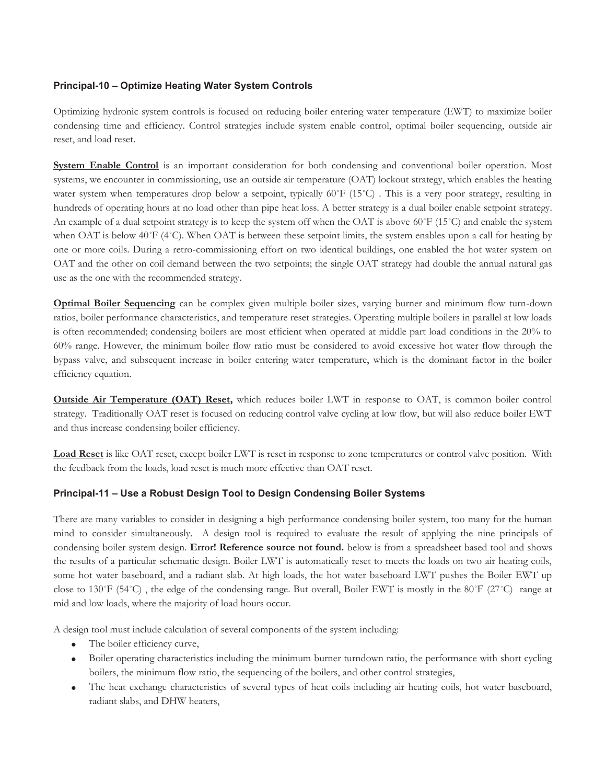### **Principal-10 – Optimize Heating Water System Controls**

Optimizing hydronic system controls is focused on reducing boiler entering water temperature (EWT) to maximize boiler condensing time and efficiency. Control strategies include system enable control, optimal boiler sequencing, outside air reset, and load reset.

**System Enable Control** is an important consideration for both condensing and conventional boiler operation. Most systems, we encounter in commissioning, use an outside air temperature (OAT) lockout strategy, which enables the heating water system when temperatures drop below a setpoint, typically 60°F (15°C). This is a very poor strategy, resulting in hundreds of operating hours at no load other than pipe heat loss. A better strategy is a dual boiler enable setpoint strategy. An example of a dual setpoint strategy is to keep the system off when the OAT is above 60˚F (15˚C) and enable the system when OAT is below 40°F (4°C). When OAT is between these setpoint limits, the system enables upon a call for heating by one or more coils. During a retro-commissioning effort on two identical buildings, one enabled the hot water system on OAT and the other on coil demand between the two setpoints; the single OAT strategy had double the annual natural gas use as the one with the recommended strategy.

**Optimal Boiler Sequencing** can be complex given multiple boiler sizes, varying burner and minimum flow turn-down ratios, boiler performance characteristics, and temperature reset strategies. Operating multiple boilers in parallel at low loads is often recommended; condensing boilers are most efficient when operated at middle part load conditions in the 20% to 60% range. However, the minimum boiler flow ratio must be considered to avoid excessive hot water flow through the bypass valve, and subsequent increase in boiler entering water temperature, which is the dominant factor in the boiler efficiency equation.

**Outside Air Temperature (OAT) Reset,** which reduces boiler LWT in response to OAT, is common boiler control strategy. Traditionally OAT reset is focused on reducing control valve cycling at low flow, but will also reduce boiler EWT and thus increase condensing boiler efficiency.

**Load Reset** is like OAT reset, except boiler LWT is reset in response to zone temperatures or control valve position. With the feedback from the loads, load reset is much more effective than OAT reset.

# **Principal-11 – Use a Robust Design Tool to Design Condensing Boiler Systems**

There are many variables to consider in designing a high performance condensing boiler system, too many for the human mind to consider simultaneously. A design tool is required to evaluate the result of applying the nine principals of condensing boiler system design. **Error! Reference source not found.** below is from a spreadsheet based tool and shows the results of a particular schematic design. Boiler LWT is automatically reset to meets the loads on two air heating coils, some hot water baseboard, and a radiant slab. At high loads, the hot water baseboard LWT pushes the Boiler EWT up close to 130˚F (54˚C) , the edge of the condensing range. But overall, Boiler EWT is mostly in the 80˚F (27˚C) range at mid and low loads, where the majority of load hours occur.

A design tool must include calculation of several components of the system including:

- The boiler efficiency curve,
- · Boiler operating characteristics including the minimum burner turndown ratio, the performance with short cycling boilers, the minimum flow ratio, the sequencing of the boilers, and other control strategies,
- The heat exchange characteristics of several types of heat coils including air heating coils, hot water baseboard, radiant slabs, and DHW heaters,